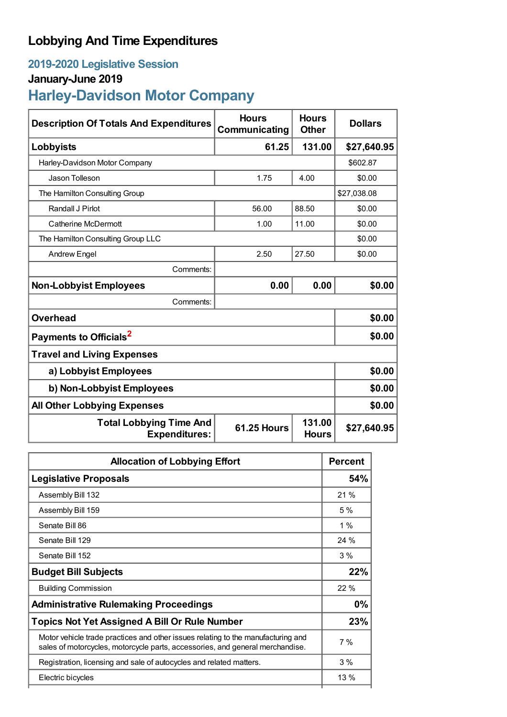## **Lobbying And Time Expenditures**

## **2019-2020 Legislative Session**

## **January-June 2019**

# **Harley-Davidson Motor Company**

| <b>Description Of Totals And Expenditures</b>          | <b>Hours</b><br>Communicating | <b>Hours</b><br><b>Other</b> | <b>Dollars</b> |
|--------------------------------------------------------|-------------------------------|------------------------------|----------------|
| <b>Lobbyists</b>                                       | 61.25                         | 131.00                       | \$27,640.95    |
| Harley-Davidson Motor Company                          |                               |                              | \$602.87       |
| Jason Tolleson                                         | 1.75                          | 4.00                         | \$0.00         |
| The Hamilton Consulting Group                          |                               |                              | \$27,038.08    |
| Randall J Pirlot                                       | 56.00                         | 88.50                        | \$0.00         |
| Catherine McDermott                                    | 1.00                          | 11.00                        | \$0.00         |
| The Hamilton Consulting Group LLC                      |                               |                              |                |
| <b>Andrew Engel</b>                                    | 2.50                          | 27.50                        | \$0.00         |
| Comments:                                              |                               |                              |                |
| <b>Non-Lobbyist Employees</b>                          | 0.00                          | 0.00                         | \$0.00         |
| Comments:                                              |                               |                              |                |
| <b>Overhead</b>                                        |                               |                              | \$0.00         |
| Payments to Officials <sup>2</sup>                     |                               |                              | \$0.00         |
| <b>Travel and Living Expenses</b>                      |                               |                              |                |
| a) Lobbyist Employees                                  |                               |                              | \$0.00         |
| b) Non-Lobbyist Employees                              |                               |                              | \$0.00         |
| <b>All Other Lobbying Expenses</b>                     |                               |                              | \$0.00         |
| <b>Total Lobbying Time And</b><br><b>Expenditures:</b> | <b>61.25 Hours</b>            | 131.00<br><b>Hours</b>       | \$27,640.95    |

| <b>Allocation of Lobbying Effort</b>                                                                                                                              |       |
|-------------------------------------------------------------------------------------------------------------------------------------------------------------------|-------|
| <b>Legislative Proposals</b>                                                                                                                                      | 54%   |
| Assembly Bill 132                                                                                                                                                 | 21%   |
| Assembly Bill 159                                                                                                                                                 | 5%    |
| Senate Bill 86                                                                                                                                                    | 1 $%$ |
| Senate Bill 129                                                                                                                                                   | 24 %  |
| Senate Bill 152                                                                                                                                                   | 3%    |
| <b>Budget Bill Subjects</b>                                                                                                                                       | 22%   |
| <b>Building Commission</b>                                                                                                                                        | 22%   |
| <b>Administrative Rulemaking Proceedings</b>                                                                                                                      | 0%    |
| <b>Topics Not Yet Assigned A Bill Or Rule Number</b>                                                                                                              | 23%   |
| Motor vehicle trade practices and other issues relating to the manufacturing and<br>sales of motorcycles, motorcycle parts, accessories, and general merchandise. |       |
| Registration, licensing and sale of autocycles and related matters.                                                                                               | 3%    |
| Electric bicycles                                                                                                                                                 | 13 %  |
|                                                                                                                                                                   |       |